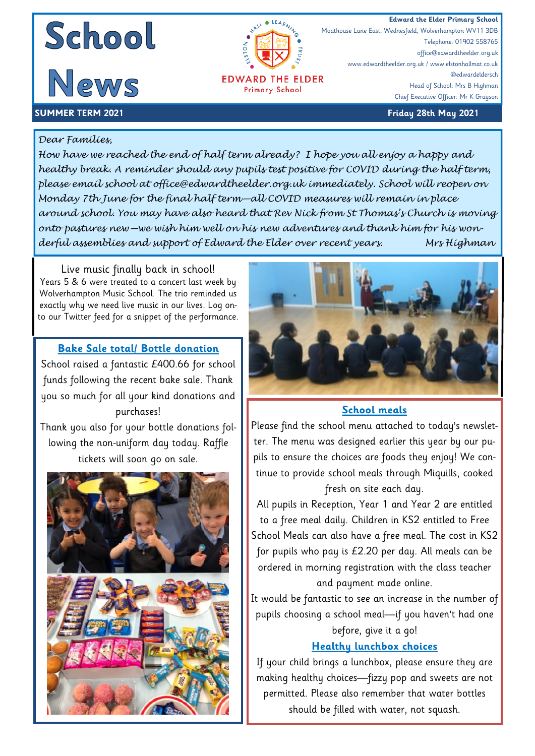



**Primary School** 

Moathouse Lane East, Wednesfield, Wolverhampton WV11 3DB Telephone: 01902 558765 office@edwardtheelder.org.uk www.edwardtheelder.org.uk / www.elstonhallmat.co.uk @edwardeldersch Head of School: Mrs B Highman Chief Executive Officer: Mr K Grayson

#### **SUMMER TERM 2021 Friday 28th May 2021**

#### *Dear Families,*

*How have we reached the end of half term already? I hope you all enjoy a happy and healthy break. A reminder should any pupils test positive for COVID during the half term, please email school at office@edwardtheelder.org.uk immediately. School will reopen on Monday 7th June for the final half term—all COVID measures will remain in place around school. You may have also heard that Rev Nick from St Thomas's Church is moving onto pastures new—we wish him well on his new adventures and thank him for his wonderful assemblies and support of Edward the Elder over recent years. Mrs Highman* 

Live music finally back in school! Years 5 & 6 were treated to a concert last week by Wolverhampton Music School. The trio reminded us exactly why we need live music in our lives. Log onto our Twitter feed for a snippet of the performance.

### **Bake Sale total/ Bottle donation**

School raised a fantastic £400.66 for school funds following the recent bake sale. Thank you so much for all your kind donations and purchases!

Thank you also for your bottle donations following the non-uniform day today. Raffle tickets will soon go on sale.





#### **School meals**

Please find the school menu attached to today's newsletter. The menu was designed earlier this year by our pupils to ensure the choices are foods they enjoy! We continue to provide school meals through Miquills, cooked

#### fresh on site each day.

All pupils in Reception, Year 1 and Year 2 are entitled to a free meal daily. Children in KS2 entitled to Free School Meals can also have a free meal. The cost in KS2 for pupils who pay is £2.20 per day. All meals can be ordered in morning registration with the class teacher and payment made online.

It would be fantastic to see an increase in the number of pupils choosing a school meal—if you haven't had one before, give it a go!

#### **Healthy lunchbox choices**

If your child brings a lunchbox, please ensure they are making healthy choices—fizzy pop and sweets are not permitted. Please also remember that water bottles should be filled with water, not squash.